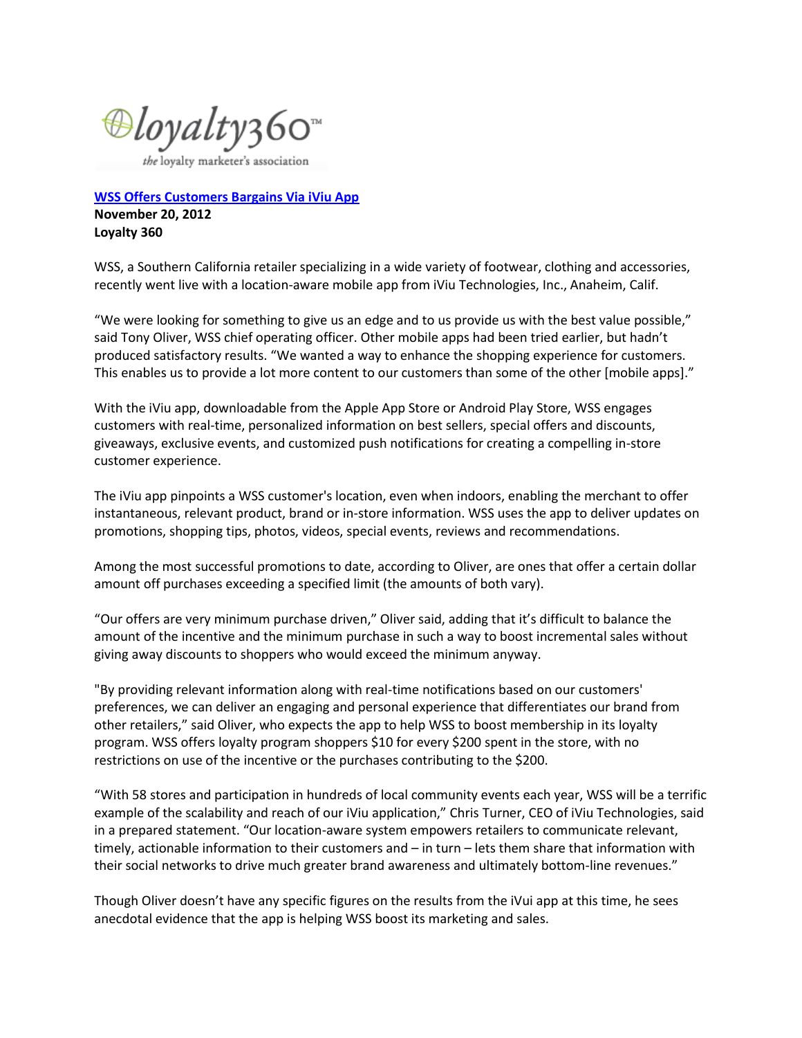⊕loyalty360™

the loyalty marketer's association

**[WSS Offers Customers Bargains Via iViu App](http://loyalty360.org/resources/article/wss-offers-customers-bargains-via-iviu-app) November 20, 2012 Loyalty 360**

WSS, a Southern California retailer specializing in a wide variety of footwear, clothing and accessories, recently went live with a location-aware mobile app from iViu Technologies, Inc., Anaheim, Calif.

"We were looking for something to give us an edge and to us provide us with the best value possible," said Tony Oliver, WSS chief operating officer. Other mobile apps had been tried earlier, but hadn't produced satisfactory results. "We wanted a way to enhance the shopping experience for customers. This enables us to provide a lot more content to our customers than some of the other [mobile apps]."

With the iViu app, downloadable from the Apple App Store or Android Play Store, WSS engages customers with real-time, personalized information on best sellers, special offers and discounts, giveaways, exclusive events, and customized push notifications for creating a compelling in-store customer experience.

The iViu app pinpoints a WSS customer's location, even when indoors, enabling the merchant to offer instantaneous, relevant product, brand or in-store information. WSS uses the app to deliver updates on promotions, shopping tips, photos, videos, special events, reviews and recommendations.

Among the most successful promotions to date, according to Oliver, are ones that offer a certain dollar amount off purchases exceeding a specified limit (the amounts of both vary).

"Our offers are very minimum purchase driven," Oliver said, adding that it's difficult to balance the amount of the incentive and the minimum purchase in such a way to boost incremental sales without giving away discounts to shoppers who would exceed the minimum anyway.

"By providing relevant information along with real-time notifications based on our customers' preferences, we can deliver an engaging and personal experience that differentiates our brand from other retailers," said Oliver, who expects the app to help WSS to boost membership in its loyalty program. WSS offers loyalty program shoppers \$10 for every \$200 spent in the store, with no restrictions on use of the incentive or the purchases contributing to the \$200.

"With 58 stores and participation in hundreds of local community events each year, WSS will be a terrific example of the scalability and reach of our iViu application," Chris Turner, CEO of iViu Technologies, said in a prepared statement. "Our location-aware system empowers retailers to communicate relevant, timely, actionable information to their customers and – in turn – lets them share that information with their social networks to drive much greater brand awareness and ultimately bottom-line revenues."

Though Oliver doesn't have any specific figures on the results from the iVui app at this time, he sees anecdotal evidence that the app is helping WSS boost its marketing and sales.